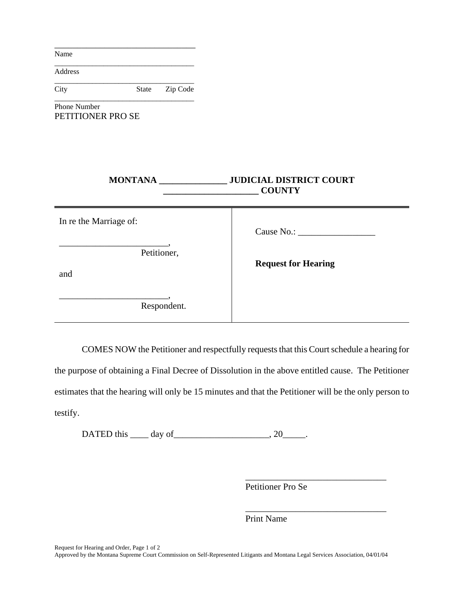Name

Address

\_\_\_\_\_\_\_\_\_\_\_\_\_\_\_\_\_\_\_\_\_\_\_\_\_\_\_\_\_\_\_\_\_\_\_\_\_ City State Zip Code \_\_\_\_\_\_\_\_\_\_\_\_\_\_\_\_\_\_\_\_\_\_\_\_\_\_\_\_\_\_\_\_\_\_\_\_\_

\_\_\_\_\_\_\_\_\_\_\_\_\_\_\_\_\_\_\_\_\_\_\_\_\_\_\_\_\_\_\_

\_\_\_\_\_\_\_\_\_\_\_\_\_\_\_\_\_\_\_\_\_\_\_\_\_\_\_\_\_\_\_\_\_\_\_\_\_

Phone Number PETITIONER PRO SE

| <b>MONTANA</b>         | <b>JUDICIAL DISTRICT COURT</b><br><b>COUNTY</b> |
|------------------------|-------------------------------------------------|
| In re the Marriage of: |                                                 |
| Petitioner,<br>and     | <b>Request for Hearing</b>                      |
| Respondent.            |                                                 |

COMES NOW the Petitioner and respectfully requests that this Court schedule a hearing for

the purpose of obtaining a Final Decree of Dissolution in the above entitled cause. The Petitioner estimates that the hearing will only be 15 minutes and that the Petitioner will be the only person to testify.

DATED this  $\qquad \qquad$  day of  $\qquad \qquad$ , 20

Petitioner Pro Se

\_\_\_\_\_\_\_\_\_\_\_\_\_\_\_\_\_\_\_\_\_\_\_\_\_\_\_\_\_\_\_

\_\_\_\_\_\_\_\_\_\_\_\_\_\_\_\_\_\_\_\_\_\_\_\_\_\_\_\_\_\_\_

Print Name

Request for Hearing and Order, Page 1 of 2

Approved by the Montana Supreme Court Commission on Self-Represented Litigants and Montana Legal Services Association, 04/01/04